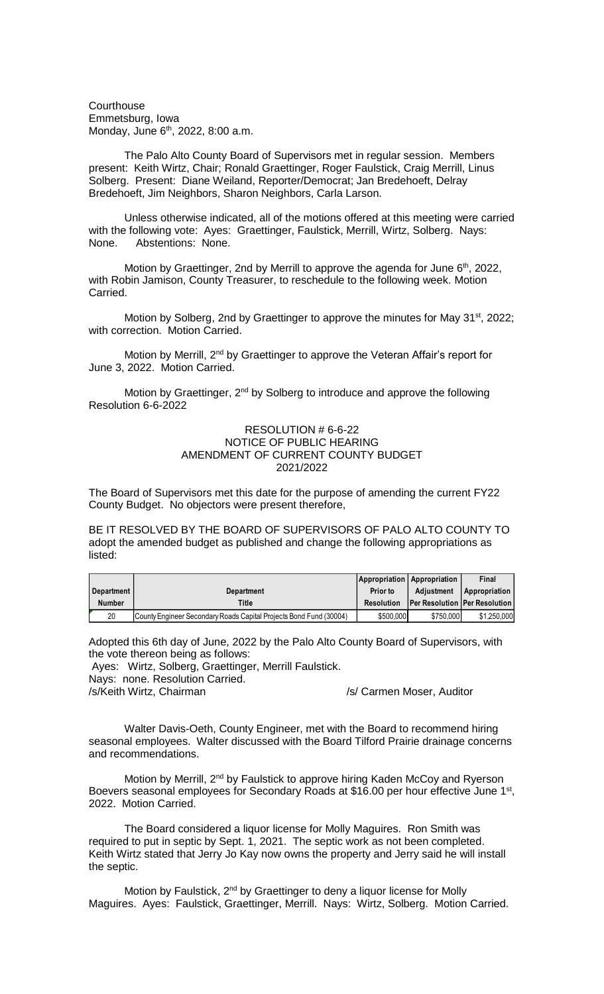**Courthouse** Emmetsburg, Iowa Monday, June 6<sup>th</sup>, 2022, 8:00 a.m.

The Palo Alto County Board of Supervisors met in regular session. Members present: Keith Wirtz, Chair; Ronald Graettinger, Roger Faulstick, Craig Merrill, Linus Solberg. Present: Diane Weiland, Reporter/Democrat; Jan Bredehoeft, Delray Bredehoeft, Jim Neighbors, Sharon Neighbors, Carla Larson.

Unless otherwise indicated, all of the motions offered at this meeting were carried with the following vote: Ayes: Graettinger, Faulstick, Merrill, Wirtz, Solberg. Nays: None. Abstentions: None.

Motion by Graettinger, 2nd by Merrill to approve the agenda for June 6<sup>th</sup>, 2022, with Robin Jamison, County Treasurer, to reschedule to the following week. Motion Carried.

Motion by Solberg, 2nd by Graettinger to approve the minutes for May  $31<sup>st</sup>$ , 2022; with correction. Motion Carried.

Motion by Merrill, 2<sup>nd</sup> by Graettinger to approve the Veteran Affair's report for June 3, 2022. Motion Carried.

Motion by Graettinger, 2<sup>nd</sup> by Solberg to introduce and approve the following Resolution 6-6-2022

## RESOLUTION # 6-6-22 NOTICE OF PUBLIC HEARING AMENDMENT OF CURRENT COUNTY BUDGET 2021/2022

The Board of Supervisors met this date for the purpose of amending the current FY22 County Budget. No objectors were present therefore,

BE IT RESOLVED BY THE BOARD OF SUPERVISORS OF PALO ALTO COUNTY TO adopt the amended budget as published and change the following appropriations as listed:

|                                                                          |            |                   | Appropriation   Appropriation             | <b>Final</b>  |
|--------------------------------------------------------------------------|------------|-------------------|-------------------------------------------|---------------|
| Department                                                               | Department | Prior to          | Adiustment                                | Appropriation |
| Number                                                                   | Title      | <b>Resolution</b> | <b>IPer Resolution   Per Resolution  </b> |               |
| 20<br>County Engineer Secondary Roads Capital Projects Bond Fund (30004) |            | \$500,000         | \$750,000                                 | \$1.250.000   |

Adopted this 6th day of June, 2022 by the Palo Alto County Board of Supervisors, with the vote thereon being as follows:

Ayes: Wirtz, Solberg, Graettinger, Merrill Faulstick.

Nays: none. Resolution Carried.

/s/Keith Wirtz, Chairman /s/ Carmen Moser, Auditor

Walter Davis-Oeth, County Engineer, met with the Board to recommend hiring seasonal employees. Walter discussed with the Board Tilford Prairie drainage concerns and recommendations.

Motion by Merrill, 2<sup>nd</sup> by Faulstick to approve hiring Kaden McCoy and Ryerson Boevers seasonal employees for Secondary Roads at \$16.00 per hour effective June 1<sup>st</sup>, 2022. Motion Carried.

The Board considered a liquor license for Molly Maguires. Ron Smith was required to put in septic by Sept. 1, 2021. The septic work as not been completed. Keith Wirtz stated that Jerry Jo Kay now owns the property and Jerry said he will install the septic.

Motion by Faulstick,  $2^{nd}$  by Graettinger to deny a liquor license for Molly Maguires. Ayes: Faulstick, Graettinger, Merrill. Nays: Wirtz, Solberg. Motion Carried.